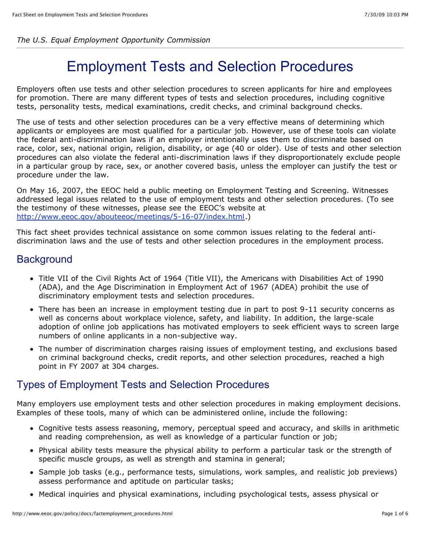#### *The U.S. Equal Employment Opportunity Commission*

# Employment Tests and Selection Procedures

Employers often use tests and other selection procedures to screen applicants for hire and employees for promotion. There are many different types of tests and selection procedures, including cognitive tests, personality tests, medical examinations, credit checks, and criminal background checks.

The use of tests and other selection procedures can be a very effective means of determining which applicants or employees are most qualified for a particular job. However, use of these tools can violate the federal anti-discrimination laws if an employer intentionally uses them to discriminate based on race, color, sex, national origin, religion, disability, or age (40 or older). Use of tests and other selection procedures can also violate the federal anti-discrimination laws if they disproportionately exclude people in a particular group by race, sex, or another covered basis, unless the employer can justify the test or procedure under the law.

On May 16, 2007, the EEOC held a public meeting on Employment Testing and Screening. Witnesses addressed legal issues related to the use of employment tests and other selection procedures. (To see the testimony of these witnesses, please see the EEOC's website at <http://www.eeoc.gov/abouteeoc/meetings/5-16-07/index.html>.)

This fact sheet provides technical assistance on some common issues relating to the federal antidiscrimination laws and the use of tests and other selection procedures in the employment process.

#### **Background**

- Title VII of the Civil Rights Act of 1964 (Title VII), the Americans with Disabilities Act of 1990 (ADA), and the Age Discrimination in Employment Act of 1967 (ADEA) prohibit the use of discriminatory employment tests and selection procedures.
- There has been an increase in employment testing due in part to post 9-11 security concerns as well as concerns about workplace violence, safety, and liability. In addition, the large-scale adoption of online job applications has motivated employers to seek efficient ways to screen large numbers of online applicants in a non-subjective way.
- The number of discrimination charges raising issues of employment testing, and exclusions based on criminal background checks, credit reports, and other selection procedures, reached a high point in FY 2007 at 304 charges.

#### Types of Employment Tests and Selection Procedures

Many employers use employment tests and other selection procedures in making employment decisions. Examples of these tools, many of which can be administered online, include the following:

- Cognitive tests assess reasoning, memory, perceptual speed and accuracy, and skills in arithmetic and reading comprehension, as well as knowledge of a particular function or job;
- Physical ability tests measure the physical ability to perform a particular task or the strength of specific muscle groups, as well as strength and stamina in general;
- Sample job tasks (e.g., performance tests, simulations, work samples, and realistic job previews) assess performance and aptitude on particular tasks;
- Medical inquiries and physical examinations, including psychological tests, assess physical or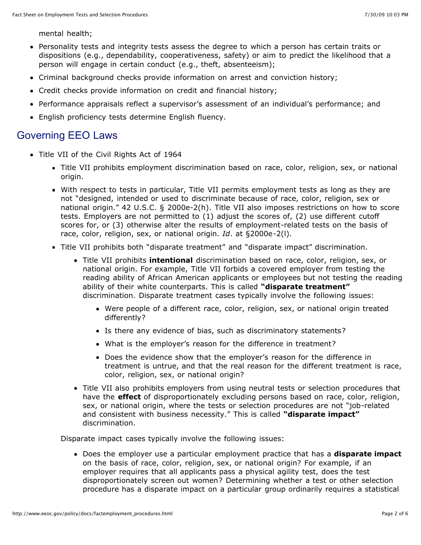mental health;

- Personality tests and integrity tests assess the degree to which a person has certain traits or dispositions (e.g., dependability, cooperativeness, safety) or aim to predict the likelihood that a person will engage in certain conduct (e.g., theft, absenteeism);
- Criminal background checks provide information on arrest and conviction history;
- Credit checks provide information on credit and financial history;
- Performance appraisals reflect a supervisor's assessment of an individual's performance; and
- English proficiency tests determine English fluency.

### Governing EEO Laws

- Title VII of the Civil Rights Act of 1964
	- Title VII prohibits employment discrimination based on race, color, religion, sex, or national origin.
	- With respect to tests in particular, Title VII permits employment tests as long as they are not "designed, intended or used to discriminate because of race, color, religion, sex or national origin." 42 U.S.C. § 2000e-2(h). Title VII also imposes restrictions on how to score tests. Employers are not permitted to (1) adjust the scores of, (2) use different cutoff scores for, or (3) otherwise alter the results of employment-related tests on the basis of race, color, religion, sex, or national origin. *Id*. at §2000e-2(l).
	- Title VII prohibits both "disparate treatment" and "disparate impact" discrimination.
		- Title VII prohibits **intentional** discrimination based on race, color, religion, sex, or national origin. For example, Title VII forbids a covered employer from testing the reading ability of African American applicants or employees but not testing the reading ability of their white counterparts. This is called **"disparate treatment"** discrimination. Disparate treatment cases typically involve the following issues:
			- Were people of a different race, color, religion, sex, or national origin treated differently?
			- Is there any evidence of bias, such as discriminatory statements?
			- What is the employer's reason for the difference in treatment?
			- Does the evidence show that the employer's reason for the difference in treatment is untrue, and that the real reason for the different treatment is race, color, religion, sex, or national origin?
		- Title VII also prohibits employers from using neutral tests or selection procedures that have the **effect** of disproportionately excluding persons based on race, color, religion, sex, or national origin, where the tests or selection procedures are not "job-related and consistent with business necessity." This is called **"disparate impact"** discrimination.

Disparate impact cases typically involve the following issues:

Does the employer use a particular employment practice that has a **disparate impact** on the basis of race, color, religion, sex, or national origin? For example, if an employer requires that all applicants pass a physical agility test, does the test disproportionately screen out women? Determining whether a test or other selection procedure has a disparate impact on a particular group ordinarily requires a statistical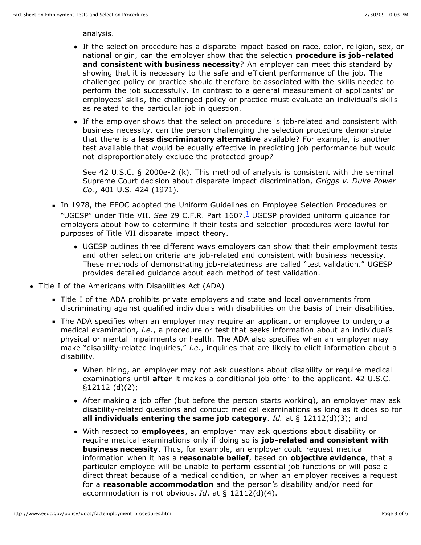analysis.

- If the selection procedure has a disparate impact based on race, color, religion, sex, or national origin, can the employer show that the selection **procedure is job-related** and consistent with business necessity? An employer can meet this standard by showing that it is necessary to the safe and efficient performance of the job. The challenged policy or practice should therefore be associated with the skills needed to perform the job successfully. In contrast to a general measurement of applicants' or employees' skills, the challenged policy or practice must evaluate an individual's skills as related to the particular job in question.
- If the employer shows that the selection procedure is job-related and consistent with business necessity, can the person challenging the selection procedure demonstrate that there is a **less discriminatory alternative** available? For example, is another test available that would be equally effective in predicting job performance but would not disproportionately exclude the protected group?

See 42 U.S.C. § 2000e-2 (k). This method of analysis is consistent with the seminal Supreme Court decision about disparate impact discrimination, *Griggs v. Duke Power Co.*, 401 U.S. 424 (1971).

- In 1978, the EEOC adopted the Uniform Guidelines on Employee Selection Procedures or "UGESP" under Title VII. *See* 29 C.F.R. Part [1](http://www.eeoc.gov/policy/docs/factemployment_procedures.html#fn1)607.<sup>1</sup> UGESP provided uniform quidance for employers about how to determine if their tests and selection procedures were lawful for purposes of Title VII disparate impact theory.
	- UGESP outlines three different ways employers can show that their employment tests and other selection criteria are job-related and consistent with business necessity. These methods of demonstrating job-relatedness are called "test validation." UGESP provides detailed guidance about each method of test validation.
- Title I of the Americans with Disabilities Act (ADA)
	- Title I of the ADA prohibits private employers and state and local governments from discriminating against qualified individuals with disabilities on the basis of their disabilities.
	- The ADA specifies when an employer may require an applicant or employee to undergo a medical examination, *i.e.*, a procedure or test that seeks information about an individual's physical or mental impairments or health. The ADA also specifies when an employer may make "disability-related inquiries," *i.e.*, inquiries that are likely to elicit information about a disability.
		- When hiring, an employer may not ask questions about disability or require medical examinations until **after** it makes a conditional job offer to the applicant. 42 U.S.C. §12112 (d)(2);
		- After making a job offer (but before the person starts working), an employer may ask disability-related questions and conduct medical examinations as long as it does so for **all individuals entering the same job category**. *Id.* at § 12112(d)(3); and
		- With respect to **employees**, an employer may ask questions about disability or require medical examinations only if doing so is **job-related and consistent with business necessity**. Thus, for example, an employer could request medical information when it has a **reasonable belief**, based on **objective evidence**, that a particular employee will be unable to perform essential job functions or will pose a direct threat because of a medical condition, or when an employer receives a request for a **reasonable accommodation** and the person's disability and/or need for accommodation is not obvious. *Id*. at § 12112(d)(4).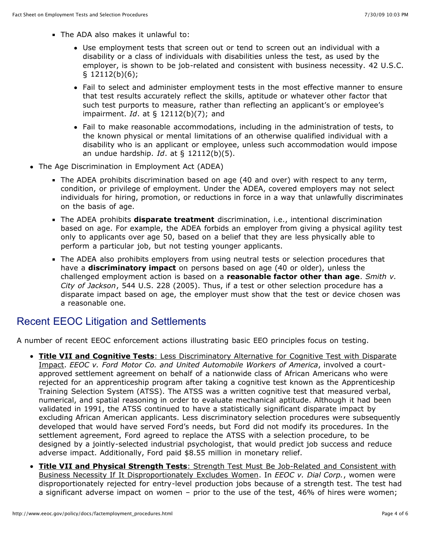- The ADA also makes it unlawful to:
	- Use employment tests that screen out or tend to screen out an individual with a disability or a class of individuals with disabilities unless the test, as used by the employer, is shown to be job-related and consistent with business necessity. 42 U.S.C.  $§ 12112(b)(6);$
	- Fail to select and administer employment tests in the most effective manner to ensure that test results accurately reflect the skills, aptitude or whatever other factor that such test purports to measure, rather than reflecting an applicant's or employee's impairment. *Id*. at § 12112(b)(7); and
	- Fail to make reasonable accommodations, including in the administration of tests, to the known physical or mental limitations of an otherwise qualified individual with a disability who is an applicant or employee, unless such accommodation would impose an undue hardship. *Id*. at § 12112(b)(5).
- The Age Discrimination in Employment Act (ADEA)
	- The ADEA prohibits discrimination based on age (40 and over) with respect to any term, condition, or privilege of employment. Under the ADEA, covered employers may not select individuals for hiring, promotion, or reductions in force in a way that unlawfully discriminates on the basis of age.
	- The ADEA prohibits **disparate treatment** discrimination, i.e., intentional discrimination based on age. For example, the ADEA forbids an employer from giving a physical agility test only to applicants over age 50, based on a belief that they are less physically able to perform a particular job, but not testing younger applicants.
	- The ADEA also prohibits employers from using neutral tests or selection procedures that have a **discriminatory impact** on persons based on age (40 or older), unless the challenged employment action is based on a **reasonable factor other than age**. *Smith v. City of Jackson*, 544 U.S. 228 (2005). Thus, if a test or other selection procedure has a disparate impact based on age, the employer must show that the test or device chosen was a reasonable one.

## Recent EEOC Litigation and Settlements

A number of recent EEOC enforcement actions illustrating basic EEO principles focus on testing.

- **Title VII and Cognitive Tests**: Less Discriminatory Alternative for Cognitive Test with Disparate Impact. *EEOC v. Ford Motor Co. and United Automobile Workers of America*, involved a courtapproved settlement agreement on behalf of a nationwide class of African Americans who were rejected for an apprenticeship program after taking a cognitive test known as the Apprenticeship Training Selection System (ATSS). The ATSS was a written cognitive test that measured verbal, numerical, and spatial reasoning in order to evaluate mechanical aptitude. Although it had been validated in 1991, the ATSS continued to have a statistically significant disparate impact by excluding African American applicants. Less discriminatory selection procedures were subsequently developed that would have served Ford's needs, but Ford did not modify its procedures. In the settlement agreement, Ford agreed to replace the ATSS with a selection procedure, to be designed by a jointly-selected industrial psychologist, that would predict job success and reduce adverse impact. Additionally, Ford paid \$8.55 million in monetary relief.
- **Title VII and Physical Strength Tests**: Strength Test Must Be Job-Related and Consistent with Business Necessity If It Disproportionately Excludes Women. In *EEOC v. Dial Corp.*, women were disproportionately rejected for entry-level production jobs because of a strength test. The test had a significant adverse impact on women – prior to the use of the test, 46% of hires were women;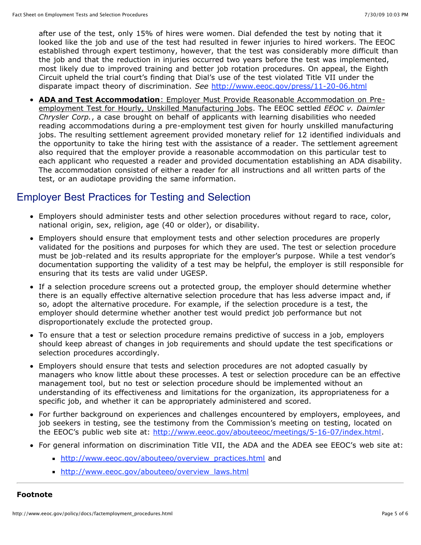after use of the test, only 15% of hires were women. Dial defended the test by noting that it looked like the job and use of the test had resulted in fewer injuries to hired workers. The EEOC established through expert testimony, however, that the test was considerably more difficult than the job and that the reduction in injuries occurred two years before the test was implemented, most likely due to improved training and better job rotation procedures. On appeal, the Eighth Circuit upheld the trial court's finding that Dial's use of the test violated Title VII under the disparate impact theory of discrimination. *See* <http://www.eeoc.gov/press/11-20-06.html>

**ADA and Test Accommodation**: Employer Must Provide Reasonable Accommodation on Preemployment Test for Hourly, Unskilled Manufacturing Jobs. The EEOC settled *EEOC v. Daimler Chrysler Corp.*, a case brought on behalf of applicants with learning disabilities who needed reading accommodations during a pre-employment test given for hourly unskilled manufacturing jobs. The resulting settlement agreement provided monetary relief for 12 identified individuals and the opportunity to take the hiring test with the assistance of a reader. The settlement agreement also required that the employer provide a reasonable accommodation on this particular test to each applicant who requested a reader and provided documentation establishing an ADA disability. The accommodation consisted of either a reader for all instructions and all written parts of the test, or an audiotape providing the same information.

## Employer Best Practices for Testing and Selection

- Employers should administer tests and other selection procedures without regard to race, color, national origin, sex, religion, age (40 or older), or disability.
- Employers should ensure that employment tests and other selection procedures are properly validated for the positions and purposes for which they are used. The test or selection procedure must be job-related and its results appropriate for the employer's purpose. While a test vendor's documentation supporting the validity of a test may be helpful, the employer is still responsible for ensuring that its tests are valid under UGESP.
- If a selection procedure screens out a protected group, the employer should determine whether there is an equally effective alternative selection procedure that has less adverse impact and, if so, adopt the alternative procedure. For example, if the selection procedure is a test, the employer should determine whether another test would predict job performance but not disproportionately exclude the protected group.
- To ensure that a test or selection procedure remains predictive of success in a job, employers should keep abreast of changes in job requirements and should update the test specifications or selection procedures accordingly.
- Employers should ensure that tests and selection procedures are not adopted casually by managers who know little about these processes. A test or selection procedure can be an effective management tool, but no test or selection procedure should be implemented without an understanding of its effectiveness and limitations for the organization, its appropriateness for a specific job, and whether it can be appropriately administered and scored.
- For further background on experiences and challenges encountered by employers, employees, and job seekers in testing, see the testimony from the Commission's meeting on testing, located on the EEOC's public web site at: [http://www.eeoc.gov/abouteeoc/meetings/5-16-07/index.html.](http://www.eeoc.gov/abouteeoc/meetings/5-16-07/index.html)
- For general information on discrimination Title VII, the ADA and the ADEA see EEOC's web site at:
	- [http://www.eeoc.gov/abouteeo/overview\\_practices.html](http://www.eeoc.gov/abouteeo/overview_practices.html) and
	- [http://www.eeoc.gov/abouteeo/overview\\_laws.html](http://www.eeoc.gov/abouteeo/overview_laws.html)

#### **Footnote**